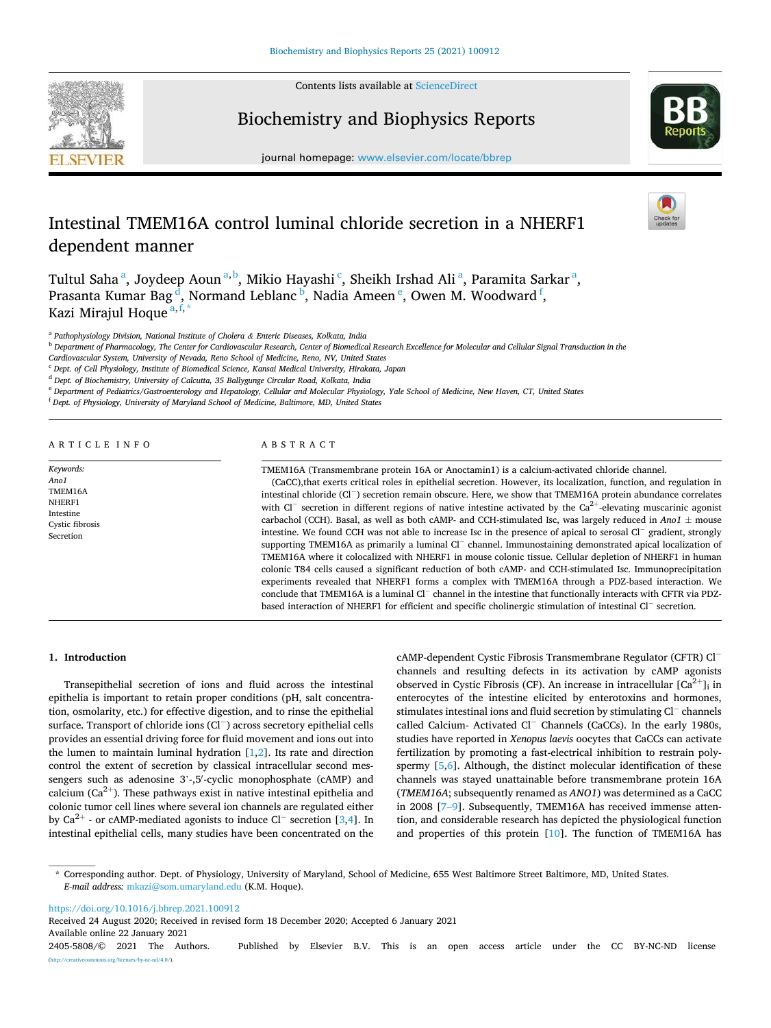

Contents lists available at [ScienceDirect](www.sciencedirect.com/science/journal/24055808)

# Biochemistry and Biophysics Reports

journal homepage: [www.elsevier.com/locate/bbrep](https://www.elsevier.com/locate/bbrep)

# Intestinal TMEM16A control luminal chloride secretion in a NHERF1 dependent manner

Tultul Saha<sup>a</sup>, Joydeep Aoun<sup>a, b</sup>, Mikio Hayashi<sup>c</sup>, Sheikh Irshad Ali<sup>a</sup>, Paramita Sarkar<sup>a</sup>, Prasanta Kumar Bag<sup>d</sup>, Normand Leblanc <sup>b</sup>, Nadia Ameen <sup>e</sup>, Owen M. Woodward f, Kazi Mirajul Hoque <sup>a, f, \*</sup>

a *Pathophysiology Division, National Institute of Cholera & Enteric Diseases, Kolkata, India* 

<sup>b</sup> *Department of Pharmacology, The Center for Cardiovascular Research, Center of Biomedical Research Excellence for Molecular and Cellular Signal Transduction in the* 

*Cardiovascular System, University of Nevada, Reno School of Medicine, Reno, NV, United States* 

<sup>c</sup> *Dept. of Cell Physiology, Institute of Biomedical Science, Kansai Medical University, Hirakata, Japan* 

<sup>d</sup> *Dept. of Biochemistry, University of Calcutta, 35 Ballygunge Circular Road, Kolkata, India* 

<sup>e</sup> *Department of Pediatrics/Gastroenterology and Hepatology, Cellular and Molecular Physiology, Yale School of Medicine, New Haven, CT, United States* 

<sup>f</sup> *Dept. of Physiology, University of Maryland School of Medicine, Baltimore, MD, United States* 

A R T I C L E I N F O

*Keywords: Ano1*  TMEM16A NHERF1 Intestine Cystic fibrosis Secretion

# ABSTRACT

TMEM16A (Transmembrane protein 16A or Anoctamin1) is a calcium-activated chloride channel.

(CaCC),that exerts critical roles in epithelial secretion. However, its localization, function, and regulation in intestinal chloride (Cl<sup>−</sup> ) secretion remain obscure. Here, we show that TMEM16A protein abundance correlates with Cl<sup>−</sup> secretion in different regions of native intestine activated by the Ca<sup>2+</sup>-elevating muscarinic agonist carbachol (CCH). Basal, as well as both cAMP- and CCH-stimulated Isc, was largely reduced in Ano1  $\pm$  mouse intestine. We found CCH was not able to increase Isc in the presence of apical to serosal Cl<sup>−</sup> gradient, strongly supporting TMEM16A as primarily a luminal Cl<sup>−</sup> channel. Immunostaining demonstrated apical localization of TMEM16A where it colocalized with NHERF1 in mouse colonic tissue. Cellular depletion of NHERF1 in human colonic T84 cells caused a significant reduction of both cAMP- and CCH-stimulated Isc. Immunoprecipitation experiments revealed that NHERF1 forms a complex with TMEM16A through a PDZ-based interaction. We conclude that TMEM16A is a luminal Cl<sup>−</sup> channel in the intestine that functionally interacts with CFTR via PDZbased interaction of NHERF1 for efficient and specific cholinergic stimulation of intestinal Cl<sup>−</sup> secretion.

# **1. Introduction**

Transepithelial secretion of ions and fluid across the intestinal epithelia is important to retain proper conditions (pH, salt concentration, osmolarity, etc.) for effective digestion, and to rinse the epithelial surface. Transport of chloride ions (Cl<sup>−</sup> ) across secretory epithelial cells provides an essential driving force for fluid movement and ions out into the lumen to maintain luminal hydration  $[1,2]$  $[1,2]$ . Its rate and direction control the extent of secretion by classical intracellular second messengers such as adenosine 3'-,5'-cyclic monophosphate (cAMP) and calcium ( $Ca^{2+}$ ). These pathways exist in native intestinal epithelia and colonic tumor cell lines where several ion channels are regulated either by Ca<sup>2+</sup> - or cAMP-mediated agonists to induce Cl<sup>−</sup> secretion [\[3,4](#page-6-0)]. In intestinal epithelial cells, many studies have been concentrated on the

cAMP-dependent Cystic Fibrosis Transmembrane Regulator (CFTR) Cl<sup>−</sup> channels and resulting defects in its activation by cAMP agonists observed in Cystic Fibrosis (CF). An increase in intracellular  $\lbrack Ca^{2+}\rbrack _i$  in enterocytes of the intestine elicited by enterotoxins and hormones, stimulates intestinal ions and fluid secretion by stimulating Cl<sup>−</sup> channels called Calcium- Activated Cl<sup>−</sup> Channels (CaCCs). In the early 1980s, studies have reported in *Xenopus laevis* oocytes that CaCCs can activate fertilization by promoting a fast-electrical inhibition to restrain polyspermy [[5](#page-6-0),[6](#page-6-0)]. Although, the distinct molecular identification of these channels was stayed unattainable before transmembrane protein 16A (*TMEM16A*; subsequently renamed as *ANO1*) was determined as a CaCC in 2008 [7–[9\]](#page-6-0). Subsequently, TMEM16A has received immense attention, and considerable research has depicted the physiological function and properties of this protein [[10\]](#page-6-0). The function of TMEM16A has

<https://doi.org/10.1016/j.bbrep.2021.100912>

Available online 22 January 2021 2405-5808/© 2021 The Authors. Published by Elsevier B.V. This is an open access article under the CC BY-NC-ND license (http://creativecommons.org/licenses/by-nc-nd/4.0/). Received 24 August 2020; Received in revised form 18 December 2020; Accepted 6 January 2021





<sup>\*</sup> Corresponding author. Dept. of Physiology, University of Maryland, School of Medicine, 655 West Baltimore Street Baltimore, MD, United States. *E-mail address:* [mkazi@som.umaryland.edu](mailto:mkazi@som.umaryland.edu) (K.M. Hoque).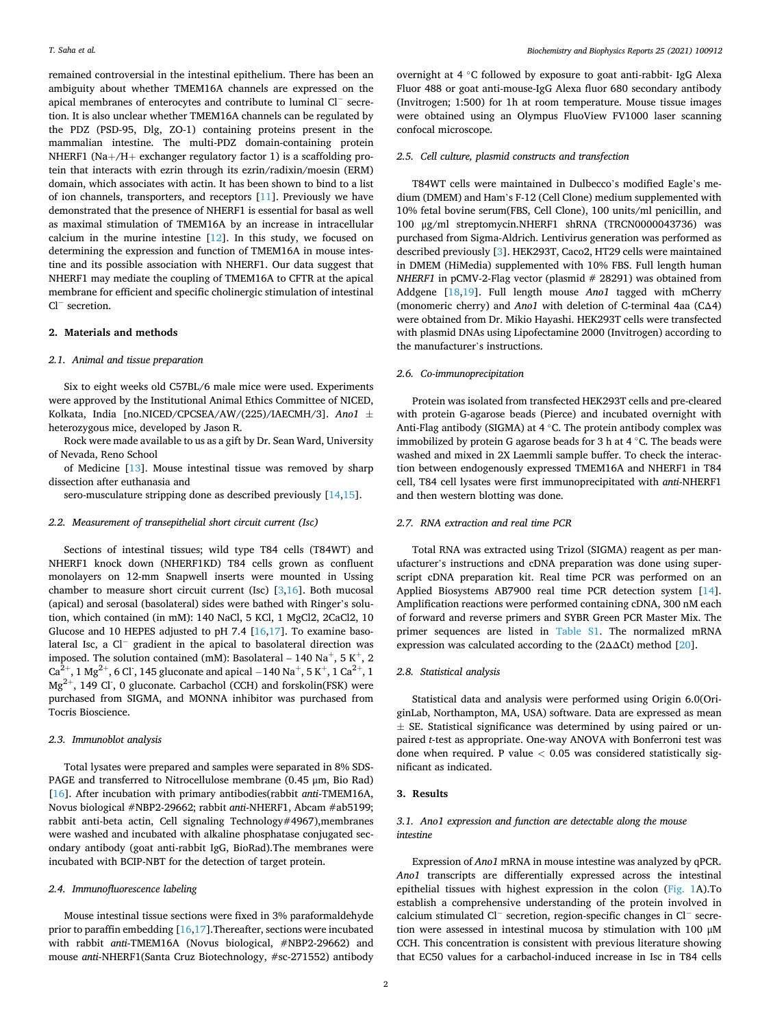remained controversial in the intestinal epithelium. There has been an ambiguity about whether TMEM16A channels are expressed on the apical membranes of enterocytes and contribute to luminal Cl<sup>−</sup> secretion. It is also unclear whether TMEM16A channels can be regulated by the PDZ (PSD-95, Dlg, ZO-1) containing proteins present in the mammalian intestine. The multi-PDZ domain-containing protein NHERF1 (Na+/H+ exchanger regulatory factor 1) is a scaffolding protein that interacts with ezrin through its ezrin/radixin/moesin (ERM) domain, which associates with actin. It has been shown to bind to a list of ion channels, transporters, and receptors [\[11\]](#page-6-0). Previously we have demonstrated that the presence of NHERF1 is essential for basal as well as maximal stimulation of TMEM16A by an increase in intracellular calcium in the murine intestine [[12\]](#page-6-0). In this study, we focused on determining the expression and function of TMEM16A in mouse intestine and its possible association with NHERF1. Our data suggest that NHERF1 may mediate the coupling of TMEM16A to CFTR at the apical membrane for efficient and specific cholinergic stimulation of intestinal Cl<sup>−</sup> secretion.

#### **2. Materials and methods**

#### *2.1. Animal and tissue preparation*

Six to eight weeks old C57BL/6 male mice were used. Experiments were approved by the Institutional Animal Ethics Committee of NICED, Kolkata, India [no.NICED/CPCSEA/AW/(225)/IAECMH/3]. *Ano1* ± heterozygous mice, developed by Jason R.

Rock were made available to us as a gift by Dr. Sean Ward, University of Nevada, Reno School

of Medicine [[13\]](#page-6-0). Mouse intestinal tissue was removed by sharp dissection after euthanasia and

sero-musculature stripping done as described previously [\[14,15](#page-6-0)].

#### *2.2. Measurement of transepithelial short circuit current (Isc)*

Sections of intestinal tissues; wild type T84 cells (T84WT) and NHERF1 knock down (NHERF1KD) T84 cells grown as confluent monolayers on 12-mm Snapwell inserts were mounted in Ussing chamber to measure short circuit current (Isc)  $[3,16]$  $[3,16]$  $[3,16]$  $[3,16]$ . Both mucosal (apical) and serosal (basolateral) sides were bathed with Ringer's solution, which contained (in mM): 140 NaCl, 5 KCl, 1 MgCl2, 2CaCl2, 10 Glucose and 10 HEPES adjusted to pH 7.4  $[16,17]$  $[16,17]$ . To examine basolateral Isc, a Cl<sup>−</sup> gradient in the apical to basolateral direction was imposed. The solution contained (mM): Basolateral – 140 Na<sup>+</sup>, 5 K<sup>+</sup>, 2 Ca<sup>2+</sup>, 1 Mg<sup>2+</sup>, 6 Cl<sup>-</sup>, 145 gluconate and apical  $-140$  Na<sup>+</sup>, 5 K<sup>+</sup>, 1 Ca<sup>2+</sup>, 1<br>Mg<sup>2+</sup>, 149 Cl<sup>-</sup>, 0 gluconate. Carbachol (CCH) and forskolin(FSK) were purchased from SIGMA, and MONNA inhibitor was purchased from Tocris Bioscience.

#### *2.3. Immunoblot analysis*

Total lysates were prepared and samples were separated in 8% SDS-PAGE and transferred to Nitrocellulose membrane (0.45 μm, Bio Rad) [[16\]](#page-6-0). After incubation with primary antibodies(rabbit *anti*-TMEM16A, Novus biological #NBP2-29662; rabbit *anti*-NHERF1, Abcam #ab5199; rabbit anti-beta actin, Cell signaling Technology#4967),membranes were washed and incubated with alkaline phosphatase conjugated secondary antibody (goat anti-rabbit IgG, BioRad).The membranes were incubated with BCIP-NBT for the detection of target protein.

#### *2.4. Immunofluorescence labeling*

Mouse intestinal tissue sections were fixed in 3% paraformaldehyde prior to paraffin embedding [\[16,17](#page-6-0)].Thereafter, sections were incubated with rabbit *anti*-TMEM16A (Novus biological, #NBP2-29662) and mouse *anti*-NHERF1(Santa Cruz Biotechnology, #sc-271552) antibody overnight at 4 ◦C followed by exposure to goat anti-rabbit- IgG Alexa Fluor 488 or goat anti-mouse-IgG Alexa fluor 680 secondary antibody (Invitrogen; 1:500) for 1h at room temperature. Mouse tissue images were obtained using an Olympus FluoView FV1000 laser scanning confocal microscope.

#### *2.5. Cell culture, plasmid constructs and transfection*

T84WT cells were maintained in Dulbecco's modified Eagle's medium (DMEM) and Ham's F-12 (Cell Clone) medium supplemented with 10% fetal bovine serum(FBS, Cell Clone), 100 units/ml penicillin, and 100 μg/ml streptomycin.NHERF1 shRNA (TRCN0000043736) was purchased from Sigma-Aldrich. Lentivirus generation was performed as described previously [\[3\]](#page-6-0). HEK293T, Caco2, HT29 cells were maintained in DMEM (HiMedia) supplemented with 10% FBS. Full length human *NHERF1* in pCMV-2-Flag vector (plasmid # 28291) was obtained from Addgene [\[18](#page-6-0),[19\]](#page-6-0). Full length mouse *Ano1* tagged with mCherry (monomeric cherry) and *Ano1* with deletion of C-terminal 4aa (CΔ4) were obtained from Dr. Mikio Hayashi. HEK293T cells were transfected with plasmid DNAs using Lipofectamine 2000 (Invitrogen) according to the manufacturer's instructions.

#### *2.6. Co-immunoprecipitation*

Protein was isolated from transfected HEK293T cells and pre-cleared with protein G-agarose beads (Pierce) and incubated overnight with Anti-Flag antibody (SIGMA) at 4 ◦C. The protein antibody complex was immobilized by protein G agarose beads for 3 h at 4 ◦C. The beads were washed and mixed in 2X Laemmli sample buffer. To check the interaction between endogenously expressed TMEM16A and NHERF1 in T84 cell, T84 cell lysates were first immunoprecipitated with *anti*-NHERF1 and then western blotting was done.

#### *2.7. RNA extraction and real time PCR*

Total RNA was extracted using Trizol (SIGMA) reagent as per manufacturer's instructions and cDNA preparation was done using superscript cDNA preparation kit. Real time PCR was performed on an Applied Biosystems AB7900 real time PCR detection system [\[14](#page-6-0)]. Amplification reactions were performed containing cDNA, 300 nM each of forward and reverse primers and SYBR Green PCR Master Mix. The primer sequences are listed in Table S1. The normalized mRNA expression was calculated according to the  $(2\Delta\Delta\text{Ct})$  method [[20\]](#page-6-0).

### *2.8. Statistical analysis*

Statistical data and analysis were performed using Origin 6.0(OriginLab, Northampton, MA, USA) software. Data are expressed as mean  $\pm$  SE. Statistical significance was determined by using paired or unpaired *t*-test as appropriate. One-way ANOVA with Bonferroni test was done when required. P value *<* 0.05 was considered statistically significant as indicated.

#### **3. Results**

# *3.1. Ano1 expression and function are detectable along the mouse intestine*

Expression of *Ano1* mRNA in mouse intestine was analyzed by qPCR. *Ano1* transcripts are differentially expressed across the intestinal epithelial tissues with highest expression in the colon [\(Fig. 1A](#page-2-0)).To establish a comprehensive understanding of the protein involved in calcium stimulated Cl<sup>−</sup> secretion, region-specific changes in Cl<sup>−</sup> secretion were assessed in intestinal mucosa by stimulation with 100 μM CCH. This concentration is consistent with previous literature showing that EC50 values for a carbachol-induced increase in Isc in T84 cells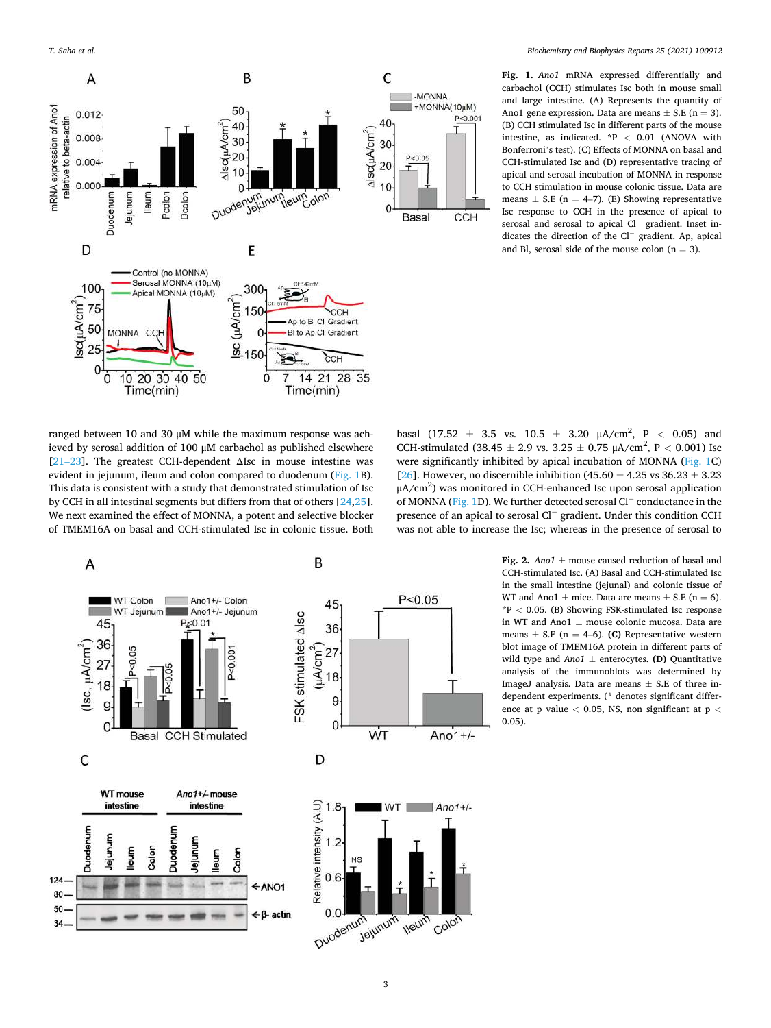<span id="page-2-0"></span>

**Fig. 1.** *Ano1* mRNA expressed differentially and carbachol (CCH) stimulates Isc both in mouse small and large intestine. (A) Represents the quantity of Ano1 gene expression. Data are means  $\pm$  S.E (n = 3). (B) CCH stimulated Isc in different parts of the mouse intestine, as indicated. \*P *<* 0.01 (ANOVA with Bonferroni's test). (C) Effects of MONNA on basal and CCH-stimulated Isc and (D) representative tracing of apical and serosal incubation of MONNA in response to CCH stimulation in mouse colonic tissue. Data are means  $\pm$  S.E (n = 4–7). (E) Showing representative Isc response to CCH in the presence of apical to serosal and serosal to apical Cl<sup>−</sup> gradient. Inset indicates the direction of the Cl<sup>−</sup> gradient. Ap, apical and Bl, serosal side of the mouse colon  $(n = 3)$ .

ranged between 10 and 30 μM while the maximum response was achieved by serosal addition of 100 μM carbachol as published elsewhere [21–[23\]](#page-6-0). The greatest CCH-dependent  $\Delta$ Isc in mouse intestine was evident in jejunum, ileum and colon compared to duodenum (Fig. 1B). This data is consistent with a study that demonstrated stimulation of Isc by CCH in all intestinal segments but differs from that of others [[24,25](#page-6-0)]. We next examined the effect of MONNA, a potent and selective blocker of TMEM16A on basal and CCH-stimulated Isc in colonic tissue. Both

basal (17.52  $\pm$  3.5 vs. 10.5  $\pm$  3.20  $\mu$ A/cm<sup>2</sup>, P < 0.05) and CCH-stimulated (38.45  $\pm$  2.9 vs. 3.25  $\pm$  0.75  $\mu$ A/cm<sup>2</sup>, P < 0.001) Isc were significantly inhibited by apical incubation of MONNA (Fig. 1C) [[26\]](#page-6-0). However, no discernible inhibition (45.60  $\pm$  4.25 vs 36.23  $\pm$  3.23  $\mu$ A/cm<sup>2</sup>) was monitored in CCH-enhanced Isc upon serosal application of MONNA (Fig. 1D). We further detected serosal Cl<sup>−</sup> conductance in the presence of an apical to serosal Cl<sup>−</sup> gradient. Under this condition CCH was not able to increase the Isc; whereas in the presence of serosal to



**Fig. 2.** *Ano1*  $\pm$  mouse caused reduction of basal and CCH-stimulated Isc. (A) Basal and CCH-stimulated Isc in the small intestine (jejunal) and colonic tissue of WT and Ano1  $\pm$  mice. Data are means  $\pm$  S.E (n = 6). \*P *<* 0.05. (B) Showing FSK-stimulated Isc response in WT and Ano $1 \pm$  mouse colonic mucosa. Data are means  $\pm$  S.E (n = 4–6). **(C)** Representative western blot image of TMEM16A protein in different parts of wild type and  $Ano1 \pm$  enterocytes. **(D)** Quantitative analysis of the immunoblots was determined by ImageJ analysis. Data are means  $\pm$  S.E of three independent experiments. (\* denotes significant difference at p value *<* 0.05, NS, non significant at p *<* 0.05).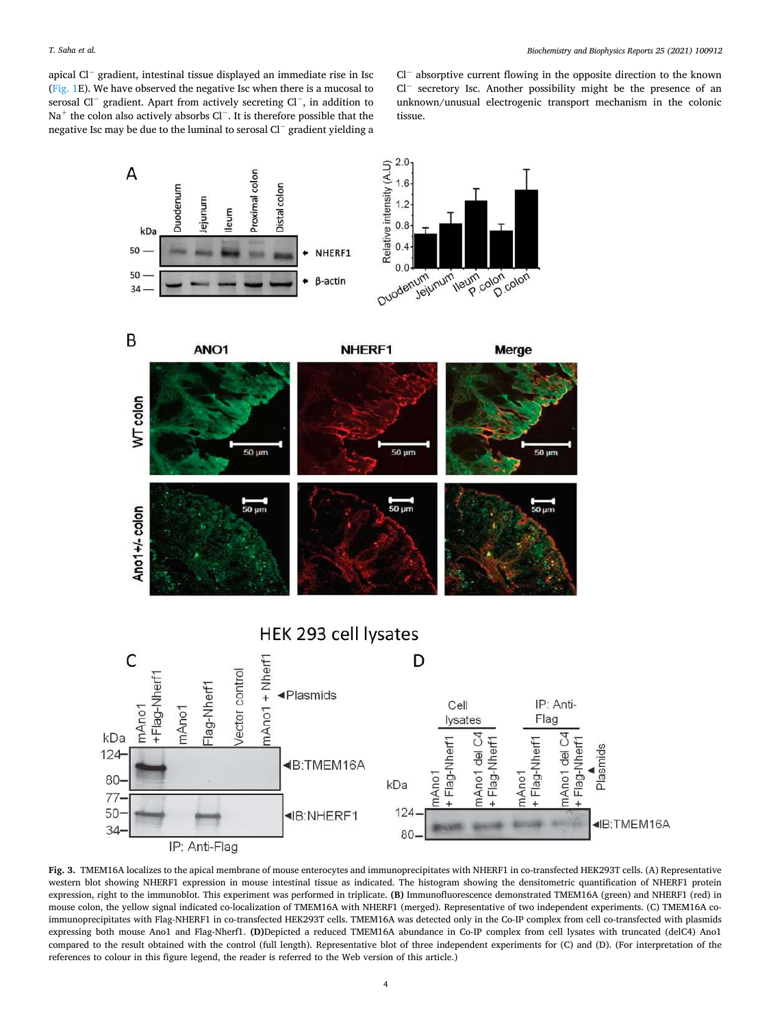<span id="page-3-0"></span>apical Cl<sup>−</sup> gradient, intestinal tissue displayed an immediate rise in Isc ([Fig. 1](#page-2-0)E). We have observed the negative Isc when there is a mucosal to serosal Cl<sup>-</sup> gradient. Apart from actively secreting Cl<sup>-</sup>, in addition to Na<sup>+</sup> the colon also actively absorbs Cl<sup>−</sup>. It is therefore possible that the negative Isc may be due to the luminal to serosal Cl<sup>−</sup> gradient yielding a

Cl<sup>−</sup> absorptive current flowing in the opposite direction to the known Cl<sup>−</sup> secretory Isc. Another possibility might be the presence of an unknown/unusual electrogenic transport mechanism in the colonic tissue.



**Fig. 3.** TMEM16A localizes to the apical membrane of mouse enterocytes and immunoprecipitates with NHERF1 in co-transfected HEK293T cells. (A) Representative western blot showing NHERF1 expression in mouse intestinal tissue as indicated. The histogram showing the densitometric quantification of NHERF1 protein expression, right to the immunoblot. This experiment was performed in triplicate. **(B)** Immunofluorescence demonstrated TMEM16A (green) and NHERF1 (red) in mouse colon, the yellow signal indicated co-localization of TMEM16A with NHERF1 (merged). Representative of two independent experiments. (C) TMEM16A coimmunoprecipitates with Flag-NHERF1 in co-transfected HEK293T cells. TMEM16A was detected only in the Co-IP complex from cell co-transfected with plasmids expressing both mouse Ano1 and Flag-Nherf1. **(D)**Depicted a reduced TMEM16A abundance in Co-IP complex from cell lysates with truncated (delC4) Ano1 compared to the result obtained with the control (full length). Representative blot of three independent experiments for (C) and (D). (For interpretation of the references to colour in this figure legend, the reader is referred to the Web version of this article.)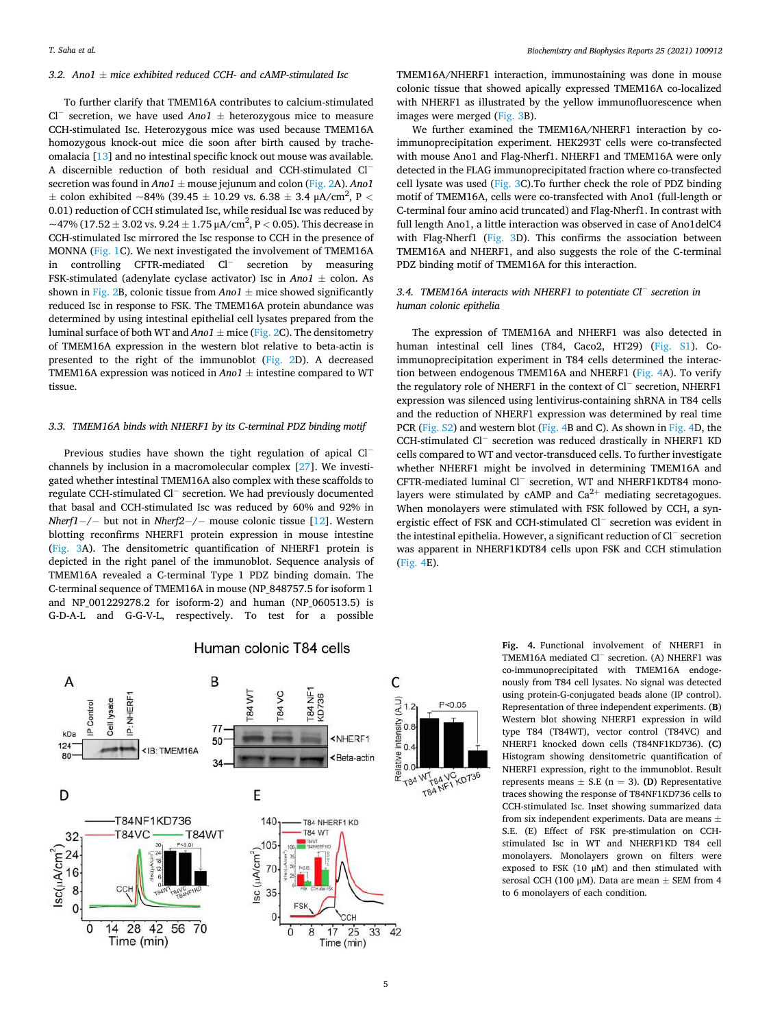# <span id="page-4-0"></span>*3.2. Ano1* ± *mice exhibited reduced CCH- and cAMP-stimulated Isc*

To further clarify that TMEM16A contributes to calcium-stimulated Cl<sup>−</sup> secretion, we have used *Ano1* ± heterozygous mice to measure CCH-stimulated Isc. Heterozygous mice was used because TMEM16A homozygous knock-out mice die soon after birth caused by tracheomalacia [[13\]](#page-6-0) and no intestinal specific knock out mouse was available. A discernible reduction of both residual and CCH-stimulated Cl<sup>−</sup> secretion was found in *Ano1* ± mouse jejunum and colon ([Fig. 2](#page-2-0)A). *Ano1*   $\pm$  colon exhibited ~84% (39.45  $\pm$  10.29 vs. 6.38  $\pm$  3.4  $\mu$ A/cm<sup>2</sup>, P  $<$ 0.01) reduction of CCH stimulated Isc, while residual Isc was reduced by  ${\sim}$ 47% (17.52  ${\pm}$  3.02 vs. 9.24  ${\pm}$  1.75  ${\mu}$ A/cm<sup>2</sup>, P  $<$  0.05). This decrease in CCH-stimulated Isc mirrored the Isc response to CCH in the presence of MONNA ([Fig. 1C](#page-2-0)). We next investigated the involvement of TMEM16A in controlling CFTR-mediated Cl<sup>−</sup> secretion by measuring FSK-stimulated (adenylate cyclase activator) Isc in  $Ano1 \pm \text{ colon.}$  As shown in [Fig. 2](#page-2-0)B, colonic tissue from  $Ano1 \pm$  mice showed significantly reduced Isc in response to FSK. The TMEM16A protein abundance was determined by using intestinal epithelial cell lysates prepared from the luminal surface of both WT and  $Ano1 \pm$  mice [\(Fig. 2C](#page-2-0)). The densitometry of TMEM16A expression in the western blot relative to beta-actin is presented to the right of the immunoblot ([Fig. 2](#page-2-0)D). A decreased TMEM16A expression was noticed in *Ano1* ± intestine compared to WT tissue.

#### *3.3. TMEM16A binds with NHERF1 by its C-terminal PDZ binding motif*

Previous studies have shown the tight regulation of apical Cl<sup>−</sup> channels by inclusion in a macromolecular complex [[27\]](#page-6-0). We investigated whether intestinal TMEM16A also complex with these scaffolds to regulate CCH-stimulated Cl<sup>−</sup> secretion. We had previously documented that basal and CCH-stimulated Isc was reduced by 60% and 92% in *Nherf1*−*/*− but not in *Nherf2*−*/*− mouse colonic tissue [\[12](#page-6-0)]. Western blotting reconfirms NHERF1 protein expression in mouse intestine ([Fig. 3](#page-3-0)A). The densitometric quantification of NHERF1 protein is depicted in the right panel of the immunoblot. Sequence analysis of TMEM16A revealed a C-terminal Type 1 PDZ binding domain. The C-terminal sequence of TMEM16A in mouse (NP\_848757.5 for isoform 1 and NP\_001229278.2 for isoform-2) and human (NP\_060513.5) is G-D-A-L and G-G-V-L, respectively. To test for a possible

# Human colonic T84 cells



TMEM16A/NHERF1 interaction, immunostaining was done in mouse colonic tissue that showed apically expressed TMEM16A co-localized with NHERF1 as illustrated by the yellow immunofluorescence when images were merged ([Fig. 3B](#page-3-0)).

We further examined the TMEM16A/NHERF1 interaction by coimmunoprecipitation experiment. HEK293T cells were co-transfected with mouse Ano1 and Flag-Nherf1. NHERF1 and TMEM16A were only detected in the FLAG immunoprecipitated fraction where co-transfected cell lysate was used [\(Fig. 3](#page-3-0)C).To further check the role of PDZ binding motif of TMEM16A, cells were co-transfected with Ano1 (full-length or C-terminal four amino acid truncated) and Flag-Nherf1. In contrast with full length Ano1, a little interaction was observed in case of Ano1delC4 with Flag-Nherf1 ([Fig. 3D](#page-3-0)). This confirms the association between TMEM16A and NHERF1, and also suggests the role of the C-terminal PDZ binding motif of TMEM16A for this interaction.

# *3.4. TMEM16A interacts with NHERF1 to potentiate Cl*<sup>−</sup> *secretion in human colonic epithelia*

The expression of TMEM16A and NHERF1 was also detected in human intestinal cell lines (T84, Caco2, HT29) (Fig. S1). Coimmunoprecipitation experiment in T84 cells determined the interaction between endogenous TMEM16A and NHERF1 (Fig. 4A). To verify the regulatory role of NHERF1 in the context of Cl<sup>−</sup> secretion, NHERF1 expression was silenced using lentivirus-containing shRNA in T84 cells and the reduction of NHERF1 expression was determined by real time PCR (Fig. S2) and western blot (Fig. 4B and C). As shown in Fig. 4D, the CCH-stimulated Cl<sup>−</sup> secretion was reduced drastically in NHERF1 KD cells compared to WT and vector-transduced cells. To further investigate whether NHERF1 might be involved in determining TMEM16A and CFTR-mediated luminal Cl<sup>−</sup> secretion, WT and NHERF1KDT84 monolayers were stimulated by cAMP and  $Ca^{2+}$  mediating secretagogues. When monolayers were stimulated with FSK followed by CCH, a synergistic effect of FSK and CCH-stimulated Cl<sup>−</sup> secretion was evident in the intestinal epithelia. However, a significant reduction of Cl<sup>−</sup> secretion was apparent in NHERF1KDT84 cells upon FSK and CCH stimulation (Fig. 4E).

> **Fig. 4.** Functional involvement of NHERF1 in TMEM16A mediated Cl<sup>−</sup> secretion. (A) NHERF1 was co-immunoprecipitated with TMEM16A endogenously from T84 cell lysates. No signal was detected using protein-G-conjugated beads alone (IP control). Representation of three independent experiments. (**B**) Western blot showing NHERF1 expression in wild type T84 (T84WT), vector control (T84VC) and NHERF1 knocked down cells (T84NF1KD736). **(C)**  Histogram showing densitometric quantification of NHERF1 expression, right to the immunoblot. Result represents means  $\pm$  S.E (n = 3). **(D)** Representative traces showing the response of T84NF1KD736 cells to CCH-stimulated Isc. Inset showing summarized data from six independent experiments. Data are means  $\pm$ S.E. (E) Effect of FSK pre-stimulation on CCHstimulated Isc in WT and NHERF1KD T84 cell monolayers. Monolayers grown on filters were exposed to FSK (10  $\mu$ M) and then stimulated with serosal CCH (100  $\mu$ M). Data are mean  $\pm$  SEM from 4 to 6 monolayers of each condition.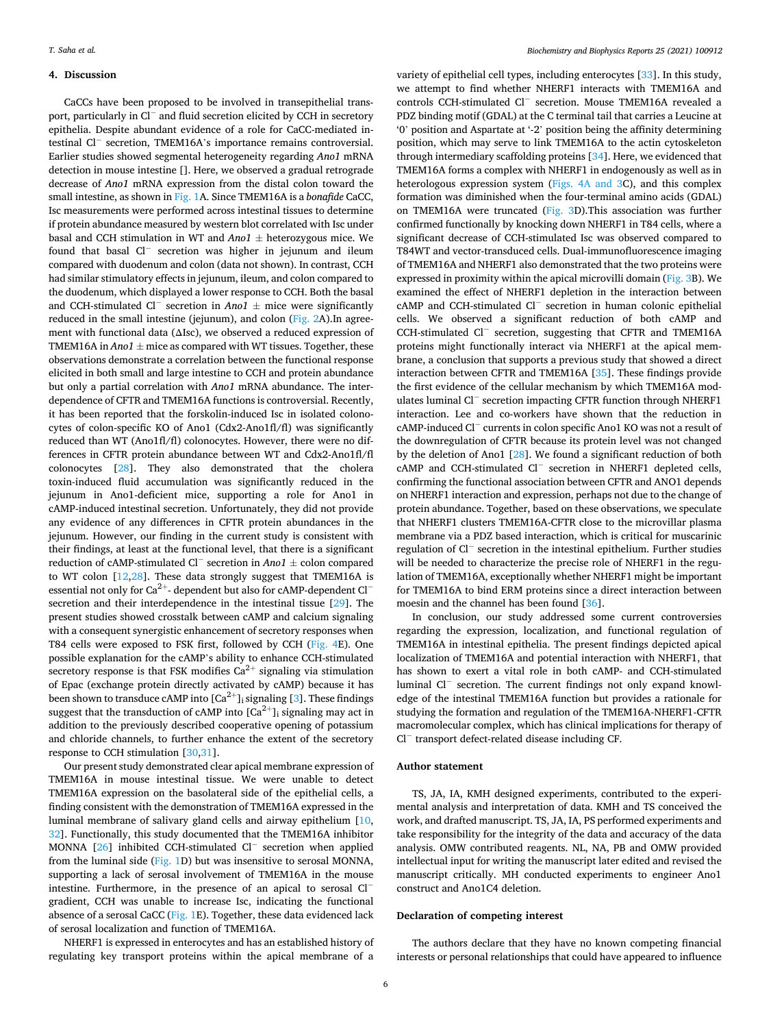# **4. Discussion**

CaCCs have been proposed to be involved in transepithelial transport, particularly in Cl<sup>-</sup> and fluid secretion elicited by CCH in secretory epithelia. Despite abundant evidence of a role for CaCC-mediated intestinal Cl<sup>−</sup> secretion, TMEM16A's importance remains controversial. Earlier studies showed segmental heterogeneity regarding *Ano1* mRNA detection in mouse intestine []. Here, we observed a gradual retrograde decrease of *Ano1* mRNA expression from the distal colon toward the small intestine, as shown in [Fig. 1](#page-2-0)A. Since TMEM16A is a *bonafide* CaCC, Isc measurements were performed across intestinal tissues to determine if protein abundance measured by western blot correlated with Isc under basal and CCH stimulation in WT and *Ano1* ± heterozygous mice. We found that basal Cl<sup>−</sup> secretion was higher in jejunum and ileum compared with duodenum and colon (data not shown). In contrast, CCH had similar stimulatory effects in jejunum, ileum, and colon compared to the duodenum, which displayed a lower response to CCH. Both the basal and CCH-stimulated Cl<sup>−</sup> secretion in *Ano1* ± mice were significantly reduced in the small intestine (jejunum), and colon [\(Fig. 2A](#page-2-0)).In agreement with functional data (ΔIsc), we observed a reduced expression of TMEM16A in  $Ano1 \pm$  mice as compared with WT tissues. Together, these observations demonstrate a correlation between the functional response elicited in both small and large intestine to CCH and protein abundance but only a partial correlation with *Ano1* mRNA abundance. The interdependence of CFTR and TMEM16A functions is controversial. Recently, it has been reported that the forskolin-induced Isc in isolated colonocytes of colon-specific KO of Ano1 (Cdx2-Ano1fl/fl) was significantly reduced than WT (Ano1fl/fl) colonocytes. However, there were no differences in CFTR protein abundance between WT and Cdx2-Ano1fl/fl colonocytes [\[28\]](#page-6-0). They also demonstrated that the cholera toxin-induced fluid accumulation was significantly reduced in the jejunum in Ano1-deficient mice, supporting a role for Ano1 in cAMP-induced intestinal secretion. Unfortunately, they did not provide any evidence of any differences in CFTR protein abundances in the jejunum. However, our finding in the current study is consistent with their findings, at least at the functional level, that there is a significant reduction of cAMP-stimulated Cl<sup>−</sup> secretion in *Ano1* ± colon compared to WT colon [\[12,28](#page-6-0)]. These data strongly suggest that TMEM16A is essential not only for Ca<sup>2+</sup>- dependent but also for cAMP-dependent  $Cl^$ secretion and their interdependence in the intestinal tissue [[29\]](#page-6-0). The present studies showed crosstalk between cAMP and calcium signaling with a consequent synergistic enhancement of secretory responses when T84 cells were exposed to FSK first, followed by CCH [\(Fig. 4](#page-4-0)E). One possible explanation for the cAMP's ability to enhance CCH-stimulated secretory response is that FSK modifies  $Ca^{2+}$  signaling via stimulation of Epac (exchange protein directly activated by cAMP) because it has been shown to transduce cAMP into  ${\rm [Ca^{2+}]}_{\rm i}$  signaling [[3](#page-6-0)]. These findings suggest that the transduction of cAMP into  ${\rm [Ca^{2+}]}_{\rm i}$  signaling may act in addition to the previously described cooperative opening of potassium and chloride channels, to further enhance the extent of the secretory response to CCH stimulation [\[30,31](#page-6-0)].

Our present study demonstrated clear apical membrane expression of TMEM16A in mouse intestinal tissue. We were unable to detect TMEM16A expression on the basolateral side of the epithelial cells, a finding consistent with the demonstration of TMEM16A expressed in the luminal membrane of salivary gland cells and airway epithelium [\[10](#page-6-0), [32\]](#page-6-0). Functionally, this study documented that the TMEM16A inhibitor MONNA [[26\]](#page-6-0) inhibited CCH-stimulated Cl<sup>−</sup> secretion when applied from the luminal side ([Fig. 1D](#page-2-0)) but was insensitive to serosal MONNA, supporting a lack of serosal involvement of TMEM16A in the mouse intestine. Furthermore, in the presence of an apical to serosal Cl<sup>−</sup> gradient, CCH was unable to increase Isc, indicating the functional absence of a serosal CaCC [\(Fig. 1E](#page-2-0)). Together, these data evidenced lack of serosal localization and function of TMEM16A.

NHERF1 is expressed in enterocytes and has an established history of regulating key transport proteins within the apical membrane of a

variety of epithelial cell types, including enterocytes [[33\]](#page-6-0). In this study, we attempt to find whether NHERF1 interacts with TMEM16A and controls CCH-stimulated Cl<sup>−</sup> secretion. Mouse TMEM16A revealed a PDZ binding motif (GDAL) at the C terminal tail that carries a Leucine at '0' position and Aspartate at '-2' position being the affinity determining position, which may serve to link TMEM16A to the actin cytoskeleton through intermediary scaffolding proteins [[34](#page-6-0)]. Here, we evidenced that TMEM16A forms a complex with NHERF1 in endogenously as well as in heterologous expression system ([Figs. 4A and 3](#page-3-0)C), and this complex formation was diminished when the four-terminal amino acids (GDAL) on TMEM16A were truncated [\(Fig. 3D](#page-3-0)).This association was further confirmed functionally by knocking down NHERF1 in T84 cells, where a significant decrease of CCH-stimulated Isc was observed compared to T84WT and vector-transduced cells. Dual-immunofluorescence imaging of TMEM16A and NHERF1 also demonstrated that the two proteins were expressed in proximity within the apical microvilli domain [\(Fig. 3B](#page-3-0)). We examined the effect of NHERF1 depletion in the interaction between cAMP and CCH-stimulated Cl<sup>−</sup> secretion in human colonic epithelial cells. We observed a significant reduction of both cAMP and CCH-stimulated Cl<sup>−</sup> secretion, suggesting that CFTR and TMEM16A proteins might functionally interact via NHERF1 at the apical membrane, a conclusion that supports a previous study that showed a direct interaction between CFTR and TMEM16A [\[35](#page-6-0)]. These findings provide the first evidence of the cellular mechanism by which TMEM16A modulates luminal Cl<sup>−</sup> secretion impacting CFTR function through NHERF1 interaction. Lee and co-workers have shown that the reduction in cAMP-induced Cl<sup>−</sup> currents in colon specific Ano1 KO was not a result of the downregulation of CFTR because its protein level was not changed by the deletion of Ano1 [\[28](#page-6-0)]. We found a significant reduction of both cAMP and CCH-stimulated Cl<sup>−</sup> secretion in NHERF1 depleted cells, confirming the functional association between CFTR and ANO1 depends on NHERF1 interaction and expression, perhaps not due to the change of protein abundance. Together, based on these observations, we speculate that NHERF1 clusters TMEM16A-CFTR close to the microvillar plasma membrane via a PDZ based interaction, which is critical for muscarinic regulation of Cl<sup>−</sup> secretion in the intestinal epithelium. Further studies will be needed to characterize the precise role of NHERF1 in the regulation of TMEM16A, exceptionally whether NHERF1 might be important for TMEM16A to bind ERM proteins since a direct interaction between moesin and the channel has been found [[36\]](#page-6-0).

In conclusion, our study addressed some current controversies regarding the expression, localization, and functional regulation of TMEM16A in intestinal epithelia. The present findings depicted apical localization of TMEM16A and potential interaction with NHERF1, that has shown to exert a vital role in both cAMP- and CCH-stimulated luminal Cl<sup>−</sup> secretion. The current findings not only expand knowledge of the intestinal TMEM16A function but provides a rationale for studying the formation and regulation of the TMEM16A-NHERF1-CFTR macromolecular complex, which has clinical implications for therapy of Cl<sup>−</sup> transport defect-related disease including CF.

#### **Author statement**

TS, JA, IA, KMH designed experiments, contributed to the experimental analysis and interpretation of data. KMH and TS conceived the work, and drafted manuscript. TS, JA, IA, PS performed experiments and take responsibility for the integrity of the data and accuracy of the data analysis. OMW contributed reagents. NL, NA, PB and OMW provided intellectual input for writing the manuscript later edited and revised the manuscript critically. MH conducted experiments to engineer Ano1 construct and Ano1C4 deletion.

#### **Declaration of competing interest**

The authors declare that they have no known competing financial interests or personal relationships that could have appeared to influence